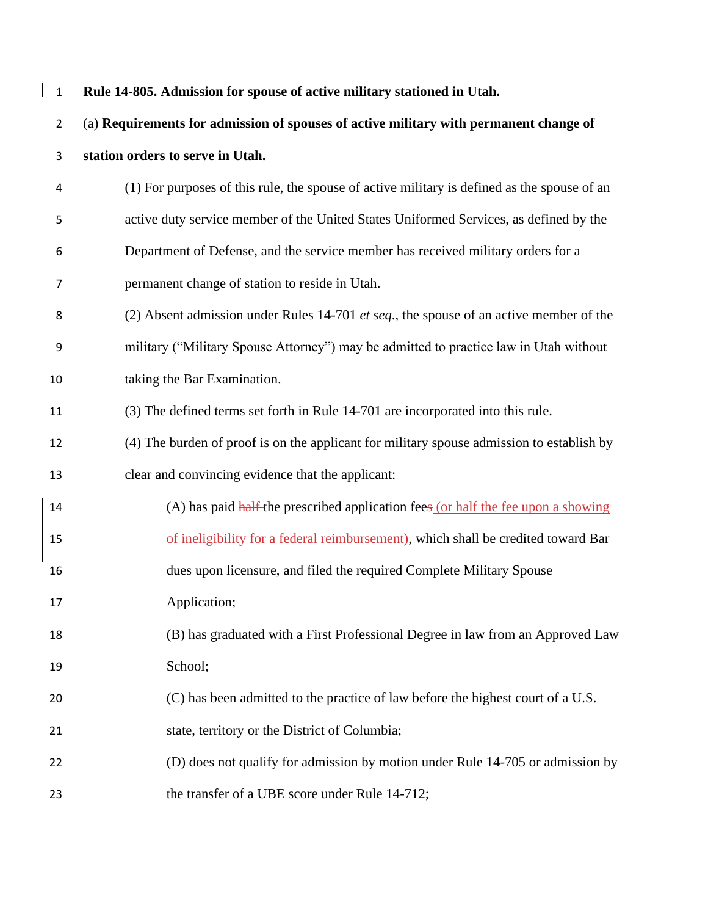| $\mathbf{1}$   | Rule 14-805. Admission for spouse of active military stationed in Utah.                        |
|----------------|------------------------------------------------------------------------------------------------|
| $\overline{2}$ | (a) Requirements for admission of spouses of active military with permanent change of          |
| 3              | station orders to serve in Utah.                                                               |
| 4              | (1) For purposes of this rule, the spouse of active military is defined as the spouse of an    |
| 5              | active duty service member of the United States Uniformed Services, as defined by the          |
| 6              | Department of Defense, and the service member has received military orders for a               |
| 7              | permanent change of station to reside in Utah.                                                 |
| 8              | (2) Absent admission under Rules 14-701 <i>et seq.</i> , the spouse of an active member of the |
| 9              | military ("Military Spouse Attorney") may be admitted to practice law in Utah without          |
| 10             | taking the Bar Examination.                                                                    |
| 11             | (3) The defined terms set forth in Rule 14-701 are incorporated into this rule.                |
| 12             | (4) The burden of proof is on the applicant for military spouse admission to establish by      |
| 13             | clear and convincing evidence that the applicant:                                              |
| 14             | (A) has paid half the prescribed application fees (or half the fee upon a showing              |
| 15             | of ineligibility for a federal reimbursement), which shall be credited toward Bar              |
| 16             | dues upon licensure, and filed the required Complete Military Spouse                           |
| 17             | Application;                                                                                   |
| 18             | (B) has graduated with a First Professional Degree in law from an Approved Law                 |
| 19             | School;                                                                                        |
| 20             | (C) has been admitted to the practice of law before the highest court of a U.S.                |
| 21             | state, territory or the District of Columbia;                                                  |
| 22             | (D) does not qualify for admission by motion under Rule 14-705 or admission by                 |
| 23             | the transfer of a UBE score under Rule 14-712;                                                 |

 $\overline{\phantom{a}}$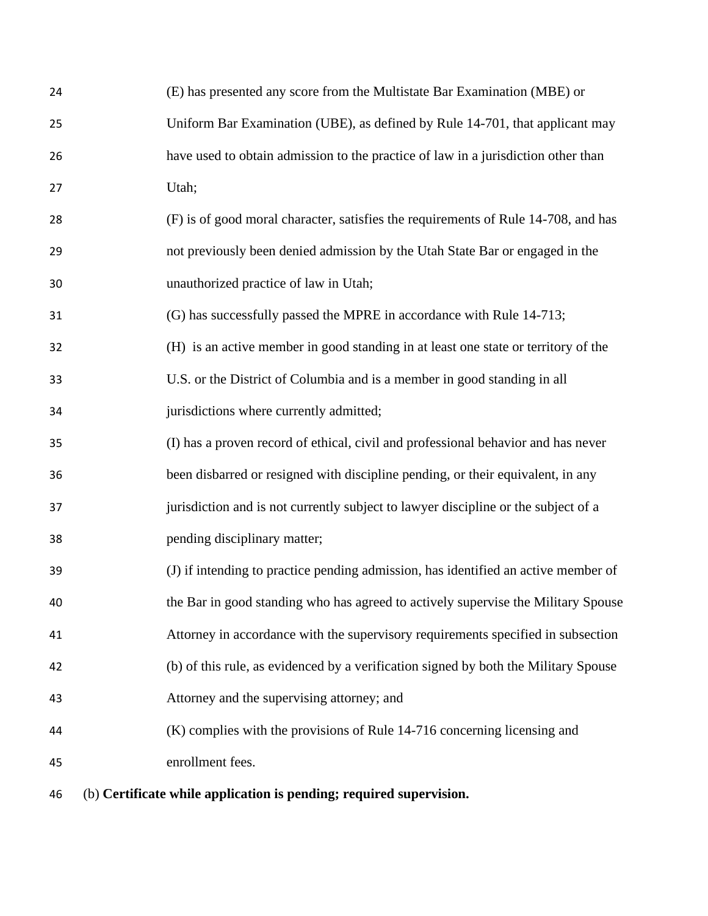| 24 | (E) has presented any score from the Multistate Bar Examination (MBE) or            |
|----|-------------------------------------------------------------------------------------|
| 25 | Uniform Bar Examination (UBE), as defined by Rule 14-701, that applicant may        |
| 26 | have used to obtain admission to the practice of law in a jurisdiction other than   |
| 27 | Utah;                                                                               |
| 28 | (F) is of good moral character, satisfies the requirements of Rule 14-708, and has  |
| 29 | not previously been denied admission by the Utah State Bar or engaged in the        |
| 30 | unauthorized practice of law in Utah;                                               |
| 31 | (G) has successfully passed the MPRE in accordance with Rule 14-713;                |
| 32 | (H) is an active member in good standing in at least one state or territory of the  |
| 33 | U.S. or the District of Columbia and is a member in good standing in all            |
| 34 | jurisdictions where currently admitted;                                             |
| 35 | (I) has a proven record of ethical, civil and professional behavior and has never   |
| 36 | been disbarred or resigned with discipline pending, or their equivalent, in any     |
| 37 | jurisdiction and is not currently subject to lawyer discipline or the subject of a  |
| 38 | pending disciplinary matter;                                                        |
| 39 | (J) if intending to practice pending admission, has identified an active member of  |
| 40 | the Bar in good standing who has agreed to actively supervise the Military Spouse   |
| 41 | Attorney in accordance with the supervisory requirements specified in subsection    |
| 42 | (b) of this rule, as evidenced by a verification signed by both the Military Spouse |
| 43 | Attorney and the supervising attorney; and                                          |
| 44 | (K) complies with the provisions of Rule 14-716 concerning licensing and            |
| 45 | enrollment fees.                                                                    |
| 46 | (b) Certificate while application is pending; required supervision.                 |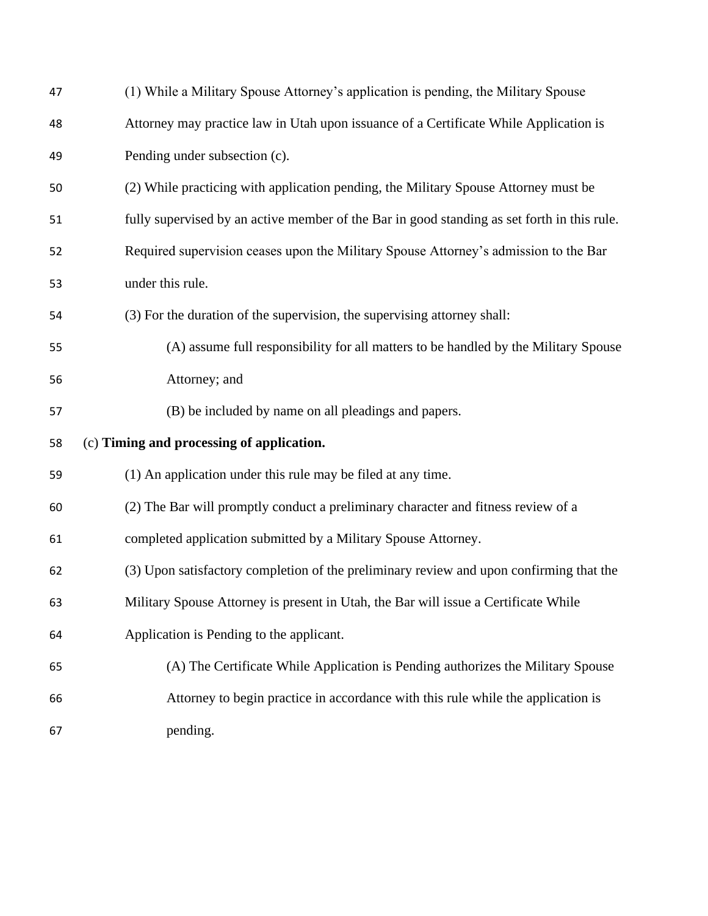| 47 | (1) While a Military Spouse Attorney's application is pending, the Military Spouse          |
|----|---------------------------------------------------------------------------------------------|
| 48 | Attorney may practice law in Utah upon issuance of a Certificate While Application is       |
| 49 | Pending under subsection (c).                                                               |
| 50 | (2) While practicing with application pending, the Military Spouse Attorney must be         |
| 51 | fully supervised by an active member of the Bar in good standing as set forth in this rule. |
| 52 | Required supervision ceases upon the Military Spouse Attorney's admission to the Bar        |
| 53 | under this rule.                                                                            |
| 54 | (3) For the duration of the supervision, the supervising attorney shall:                    |
| 55 | (A) assume full responsibility for all matters to be handled by the Military Spouse         |
| 56 | Attorney; and                                                                               |
| 57 | (B) be included by name on all pleadings and papers.                                        |
| 58 | (c) Timing and processing of application.                                                   |
| 59 | (1) An application under this rule may be filed at any time.                                |
| 60 | (2) The Bar will promptly conduct a preliminary character and fitness review of a           |
| 61 | completed application submitted by a Military Spouse Attorney.                              |
| 62 | (3) Upon satisfactory completion of the preliminary review and upon confirming that the     |
| 63 | Military Spouse Attorney is present in Utah, the Bar will issue a Certificate While         |
| 64 | Application is Pending to the applicant.                                                    |
| 65 | (A) The Certificate While Application is Pending authorizes the Military Spouse             |
| 66 | Attorney to begin practice in accordance with this rule while the application is            |
| 67 | pending.                                                                                    |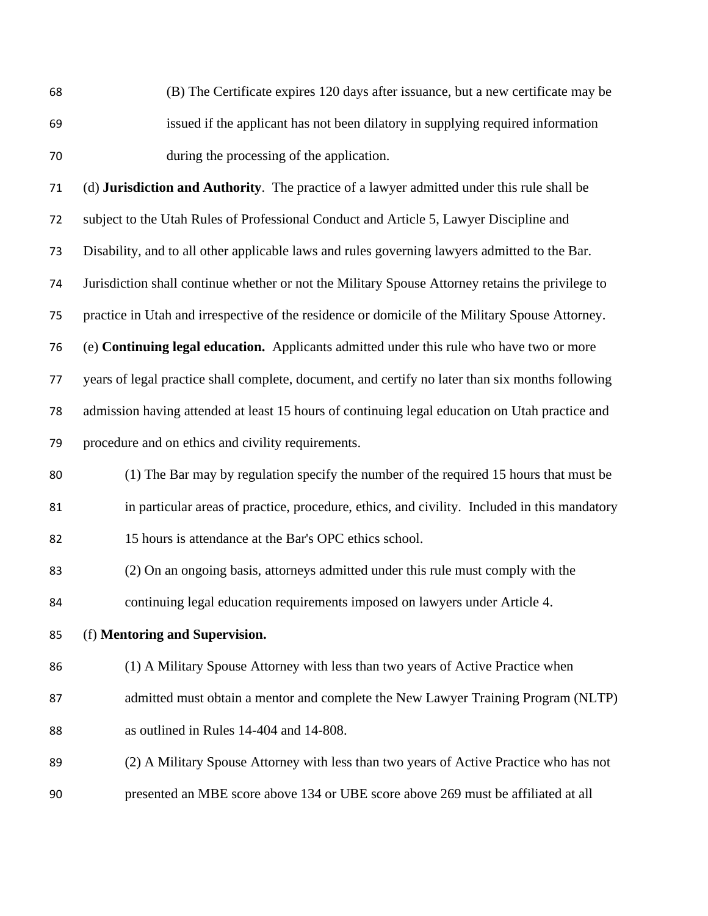| 68 | (B) The Certificate expires 120 days after issuance, but a new certificate may be |
|----|-----------------------------------------------------------------------------------|
| 69 | issued if the applicant has not been dilatory in supplying required information   |
| 70 | during the processing of the application.                                         |

 (d) **Jurisdiction and Authority**. The practice of a lawyer admitted under this rule shall be subject to the Utah Rules of Professional Conduct and Article 5, Lawyer Discipline and Disability, and to all other applicable laws and rules governing lawyers admitted to the Bar. Jurisdiction shall continue whether or not the Military Spouse Attorney retains the privilege to practice in Utah and irrespective of the residence or domicile of the Military Spouse Attorney. (e) **Continuing legal education.** Applicants admitted under this rule who have two or more years of legal practice shall complete, document, and certify no later than six months following admission having attended at least 15 hours of continuing legal education on Utah practice and procedure and on ethics and civility requirements. (1) The Bar may by regulation specify the number of the required 15 hours that must be in particular areas of practice, procedure, ethics, and civility. Included in this mandatory 82 15 hours is attendance at the Bar's OPC ethics school. (2) On an ongoing basis, attorneys admitted under this rule must comply with the continuing legal education requirements imposed on lawyers under Article 4. (f) **Mentoring and Supervision.** (1) A Military Spouse Attorney with less than two years of Active Practice when admitted must obtain a mentor and complete the New Lawyer Training Program (NLTP) as outlined in Rules 14-404 and 14-808. (2) A Military Spouse Attorney with less than two years of Active Practice who has not

presented an MBE score above 134 or UBE score above 269 must be affiliated at all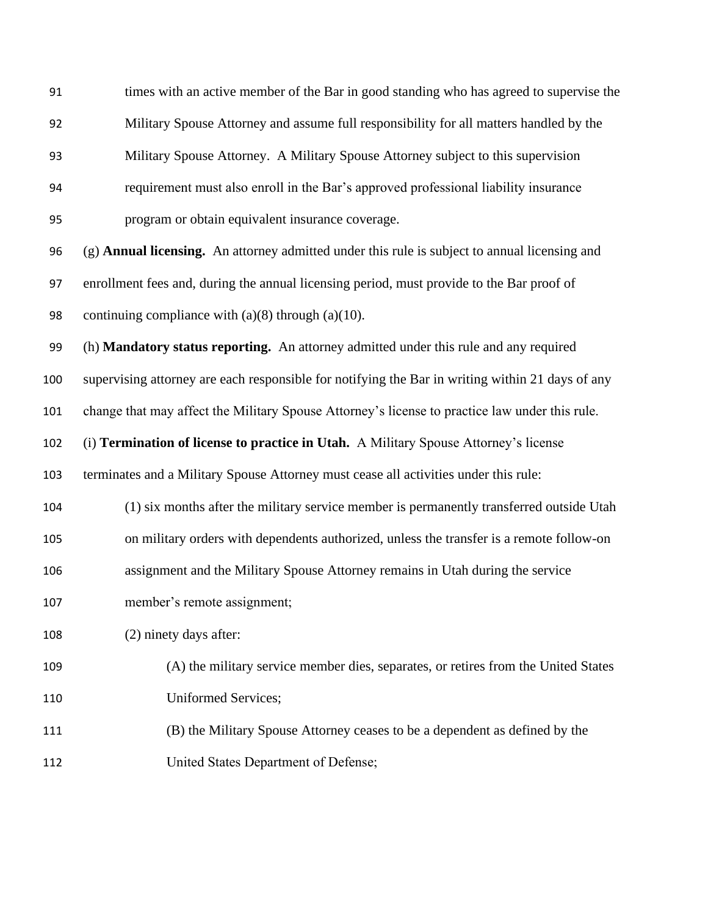| 91  | times with an active member of the Bar in good standing who has agreed to supervise the              |
|-----|------------------------------------------------------------------------------------------------------|
| 92  | Military Spouse Attorney and assume full responsibility for all matters handled by the               |
| 93  | Military Spouse Attorney. A Military Spouse Attorney subject to this supervision                     |
| 94  | requirement must also enroll in the Bar's approved professional liability insurance                  |
| 95  | program or obtain equivalent insurance coverage.                                                     |
| 96  | (g) <b>Annual licensing.</b> An attorney admitted under this rule is subject to annual licensing and |
| 97  | enrollment fees and, during the annual licensing period, must provide to the Bar proof of            |
| 98  | continuing compliance with $(a)(8)$ through $(a)(10)$ .                                              |
| 99  | (h) Mandatory status reporting. An attorney admitted under this rule and any required                |
| 100 | supervising attorney are each responsible for notifying the Bar in writing within 21 days of any     |
| 101 | change that may affect the Military Spouse Attorney's license to practice law under this rule.       |
| 102 | (i) Termination of license to practice in Utah. A Military Spouse Attorney's license                 |
| 103 | terminates and a Military Spouse Attorney must cease all activities under this rule:                 |
| 104 | (1) six months after the military service member is permanently transferred outside Utah             |
| 105 | on military orders with dependents authorized, unless the transfer is a remote follow-on             |
| 106 | assignment and the Military Spouse Attorney remains in Utah during the service                       |
| 107 | member's remote assignment;                                                                          |
| 108 | (2) ninety days after:                                                                               |
| 109 | (A) the military service member dies, separates, or retires from the United States                   |
| 110 | Uniformed Services;                                                                                  |
| 111 | (B) the Military Spouse Attorney ceases to be a dependent as defined by the                          |
| 112 | United States Department of Defense;                                                                 |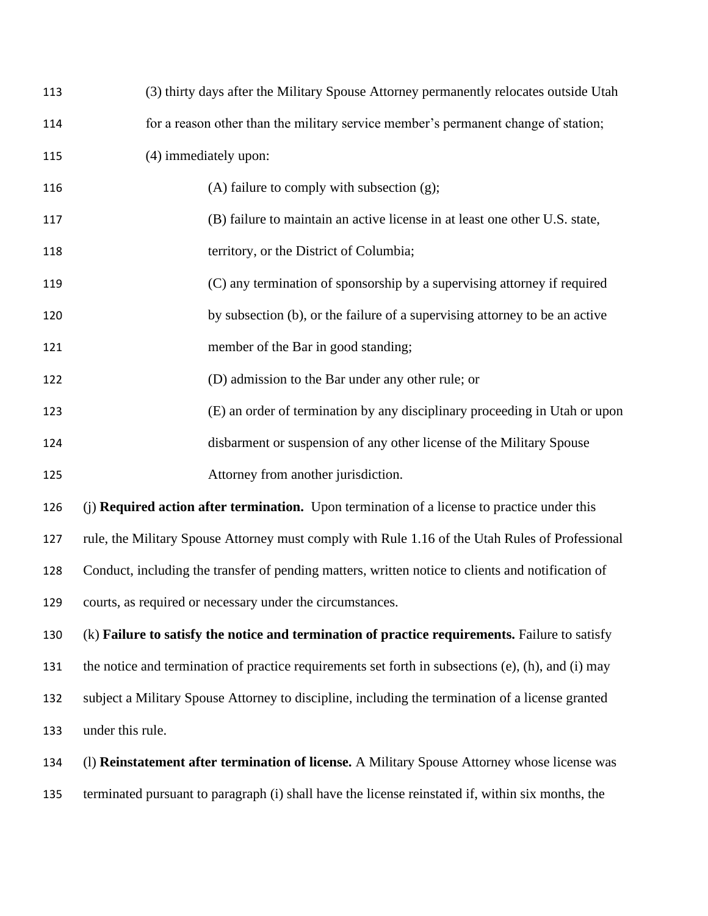| 113 | (3) thirty days after the Military Spouse Attorney permanently relocates outside Utah              |
|-----|----------------------------------------------------------------------------------------------------|
| 114 | for a reason other than the military service member's permanent change of station;                 |
| 115 | (4) immediately upon:                                                                              |
| 116 | $(A)$ failure to comply with subsection $(g)$ ;                                                    |
| 117 | (B) failure to maintain an active license in at least one other U.S. state,                        |
| 118 | territory, or the District of Columbia;                                                            |
| 119 | (C) any termination of sponsorship by a supervising attorney if required                           |
| 120 | by subsection (b), or the failure of a supervising attorney to be an active                        |
| 121 | member of the Bar in good standing;                                                                |
| 122 | (D) admission to the Bar under any other rule; or                                                  |
| 123 | (E) an order of termination by any disciplinary proceeding in Utah or upon                         |
| 124 | disbarment or suspension of any other license of the Military Spouse                               |
| 125 | Attorney from another jurisdiction.                                                                |
| 126 | (j) Required action after termination. Upon termination of a license to practice under this        |
| 127 | rule, the Military Spouse Attorney must comply with Rule 1.16 of the Utah Rules of Professional    |
| 128 | Conduct, including the transfer of pending matters, written notice to clients and notification of  |
| 129 | courts, as required or necessary under the circumstances.                                          |
| 130 | (k) Failure to satisfy the notice and termination of practice requirements. Failure to satisfy     |
| 131 | the notice and termination of practice requirements set forth in subsections (e), (h), and (i) may |
| 132 | subject a Military Spouse Attorney to discipline, including the termination of a license granted   |
| 133 | under this rule.                                                                                   |
| 134 | (1) Reinstatement after termination of license. A Military Spouse Attorney whose license was       |

terminated pursuant to paragraph (i) shall have the license reinstated if, within six months, the